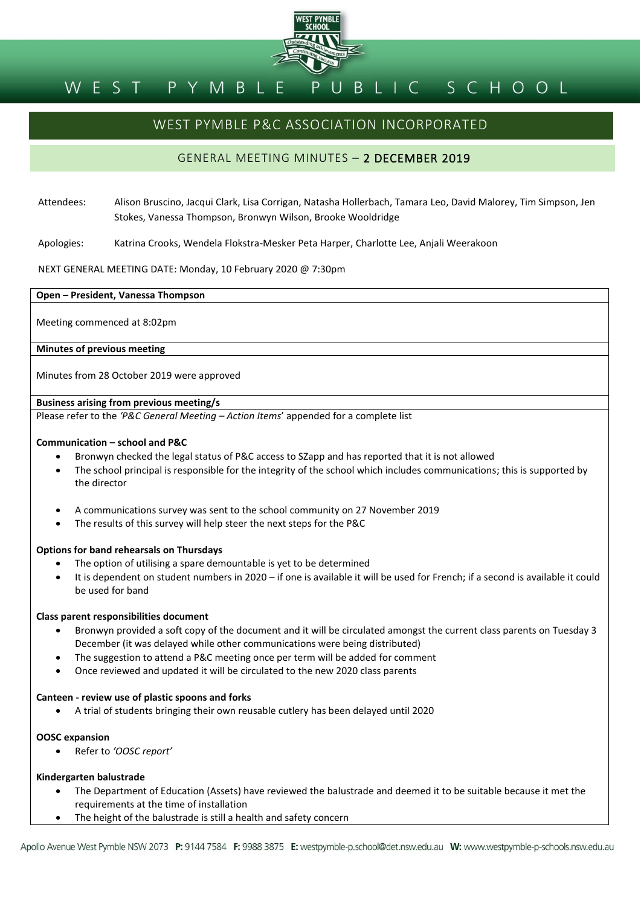

#### BLIC SCHOOL PYMBLE WEST

# WEST PYMBLE P&C ASSOCIATION INCORPORATED

## GENERAL MEETING MINUTES – 2 DECEMBER 2019

- Attendees: Alison Bruscino, Jacqui Clark, Lisa Corrigan, Natasha Hollerbach, Tamara Leo, David Malorey, Tim Simpson, Jen Stokes, Vanessa Thompson, Bronwyn Wilson, Brooke Wooldridge
- Apologies: Katrina Crooks, Wendela Flokstra-Mesker Peta Harper, Charlotte Lee, Anjali Weerakoon

## NEXT GENERAL MEETING DATE: Monday, 10 February 2020 @ 7:30pm

**Open – President, Vanessa Thompson**

Meeting commenced at 8:02pm

**Minutes of previous meeting**

Minutes from 28 October 2019 were approved

## **Business arising from previous meeting/s**

Please refer to the *'P&C General Meeting – Action Items*' appended for a complete list

## **Communication – school and P&C**

- Bronwyn checked the legal status of P&C access to SZapp and has reported that it is not allowed
- The school principal is responsible for the integrity of the school which includes communications; this is supported by the director
- A communications survey was sent to the school community on 27 November 2019
- The results of this survey will help steer the next steps for the P&C

## **Options for band rehearsals on Thursdays**

- The option of utilising a spare demountable is yet to be determined
- It is dependent on student numbers in 2020 if one is available it will be used for French; if a second is available it could be used for band

## **Class parent responsibilities document**

- Bronwyn provided a soft copy of the document and it will be circulated amongst the current class parents on Tuesday 3 December (it was delayed while other communications were being distributed)
- The suggestion to attend a P&C meeting once per term will be added for comment
- Once reviewed and updated it will be circulated to the new 2020 class parents

## **Canteen - review use of plastic spoons and forks**

A trial of students bringing their own reusable cutlery has been delayed until 2020

## **OOSC expansion**

Refer to *'OOSC report'*

## **Kindergarten balustrade**

- The Department of Education (Assets) have reviewed the balustrade and deemed it to be suitable because it met the requirements at the time of installation
- The height of the balustrade is still a health and safety concern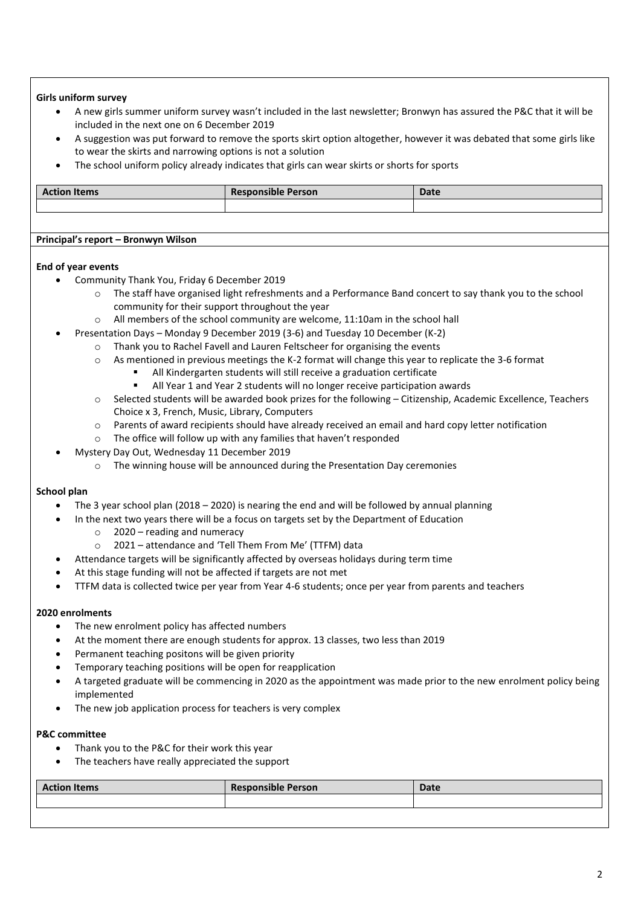## **Girls uniform survey**

- A new girls summer uniform survey wasn't included in the last newsletter; Bronwyn has assured the P&C that it will be included in the next one on 6 December 2019
- A suggestion was put forward to remove the sports skirt option altogether, however it was debated that some girls like to wear the skirts and narrowing options is not a solution
- The school uniform policy already indicates that girls can wear skirts or shorts for sports

| <b>Action Items</b> | <b>Responsible Person</b> | <b>Date</b> |
|---------------------|---------------------------|-------------|
|                     |                           |             |
|                     |                           |             |

## **Principal's report – Bronwyn Wilson**

## **End of year events**

- Community Thank You, Friday 6 December 2019
	- o The staff have organised light refreshments and a Performance Band concert to say thank you to the school community for their support throughout the year
	- o All members of the school community are welcome, 11:10am in the school hall
- Presentation Days Monday 9 December 2019 (3-6) and Tuesday 10 December (K-2)
	- Thank you to Rachel Favell and Lauren Feltscheer for organising the events
	- o As mentioned in previous meetings the K-2 format will change this year to replicate the 3-6 format
		- All Kindergarten students will still receive a graduation certificate
			- All Year 1 and Year 2 students will no longer receive participation awards
	- o Selected students will be awarded book prizes for the following Citizenship, Academic Excellence, Teachers Choice x 3, French, Music, Library, Computers
	- o Parents of award recipients should have already received an email and hard copy letter notification
	- o The office will follow up with any families that haven't responded
- Mystery Day Out, Wednesday 11 December 2019
	- o The winning house will be announced during the Presentation Day ceremonies

## **School plan**

- The 3 year school plan (2018 2020) is nearing the end and will be followed by annual planning
- In the next two years there will be a focus on targets set by the Department of Education
	- $\circ$  2020 reading and numeracy
	- o 2021 attendance and 'Tell Them From Me' (TTFM) data
	- Attendance targets will be significantly affected by overseas holidays during term time
- At this stage funding will not be affected if targets are not met
- TTFM data is collected twice per year from Year 4-6 students; once per year from parents and teachers

## **2020 enrolments**

- The new enrolment policy has affected numbers
- At the moment there are enough students for approx. 13 classes, two less than 2019
- Permanent teaching positons will be given priority
- Temporary teaching positions will be open for reapplication
- A targeted graduate will be commencing in 2020 as the appointment was made prior to the new enrolment policy being implemented
- The new job application process for teachers is very complex

## **P&C committee**

- Thank you to the P&C for their work this year
- The teachers have really appreciated the support

| <b>Action Items</b> | <b>Responsible Person</b> | <b>Date</b> |
|---------------------|---------------------------|-------------|
|                     |                           |             |
|                     |                           |             |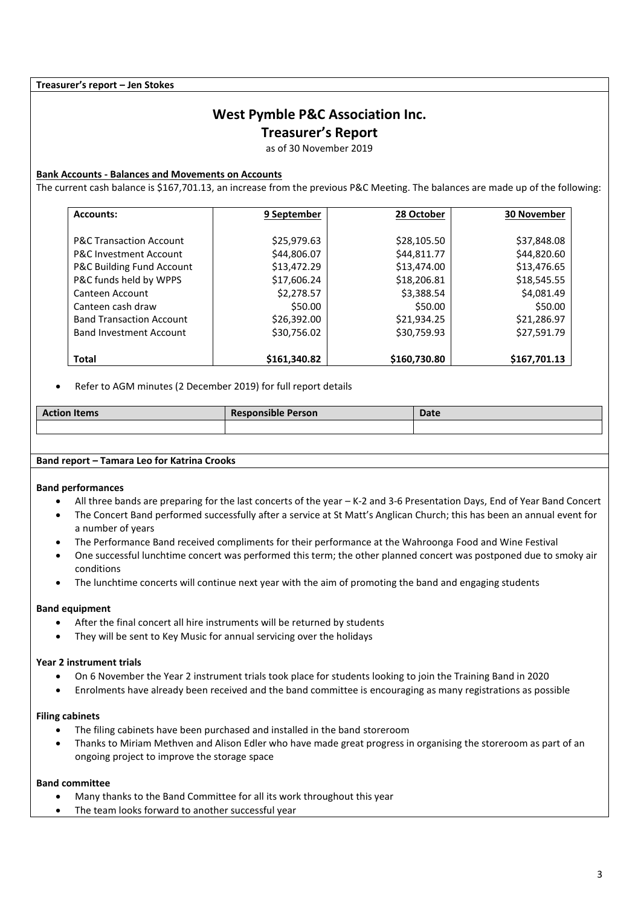**Treasurer's report – Jen Stokes**

## **West Pymble P&C Association Inc.**

**Treasurer's Report**

as of 30 November 2019

## **Bank Accounts - Balances and Movements on Accounts**

The current cash balance is \$167,701.13, an increase from the previous P&C Meeting. The balances are made up of the following:

| <b>Accounts:</b>                   | 9 September  | 28 October   | <b>30 November</b> |
|------------------------------------|--------------|--------------|--------------------|
|                                    |              |              |                    |
| <b>P&amp;C Transaction Account</b> | \$25,979.63  | \$28,105.50  | \$37,848.08        |
| <b>P&amp;C Investment Account</b>  | \$44,806.07  | \$44,811.77  | \$44,820.60        |
| P&C Building Fund Account          | \$13,472.29  | \$13,474.00  | \$13,476.65        |
| P&C funds held by WPPS             | \$17,606.24  | \$18,206.81  | \$18,545.55        |
| Canteen Account                    | \$2,278.57   | \$3,388.54   | \$4,081.49         |
| Canteen cash draw                  | \$50.00      | \$50.00      | \$50.00            |
| <b>Band Transaction Account</b>    | \$26,392.00  | \$21,934.25  | \$21,286.97        |
| <b>Band Investment Account</b>     | \$30,756.02  | \$30,759.93  | \$27,591.79        |
|                                    |              |              |                    |
| Total                              | \$161,340.82 | \$160,730.80 | \$167,701.13       |

Refer to AGM minutes (2 December 2019) for full report details

| <b>Action Items</b> | <b>Responsible Person</b> | <b>Date</b> |
|---------------------|---------------------------|-------------|
|                     |                           |             |

## **Band report – Tamara Leo for Katrina Crooks**

## **Band performances**

- All three bands are preparing for the last concerts of the year K-2 and 3-6 Presentation Days, End of Year Band Concert
- The Concert Band performed successfully after a service at St Matt's Anglican Church; this has been an annual event for a number of years
- The Performance Band received compliments for their performance at the Wahroonga Food and Wine Festival
- One successful lunchtime concert was performed this term; the other planned concert was postponed due to smoky air conditions
- The lunchtime concerts will continue next year with the aim of promoting the band and engaging students

## **Band equipment**

- After the final concert all hire instruments will be returned by students
- They will be sent to Key Music for annual servicing over the holidays

## **Year 2 instrument trials**

- On 6 November the Year 2 instrument trials took place for students looking to join the Training Band in 2020
- Enrolments have already been received and the band committee is encouraging as many registrations as possible

## **Filing cabinets**

- The filing cabinets have been purchased and installed in the band storeroom
- Thanks to Miriam Methven and Alison Edler who have made great progress in organising the storeroom as part of an ongoing project to improve the storage space

## **Band committee**

- Many thanks to the Band Committee for all its work throughout this year
- The team looks forward to another successful year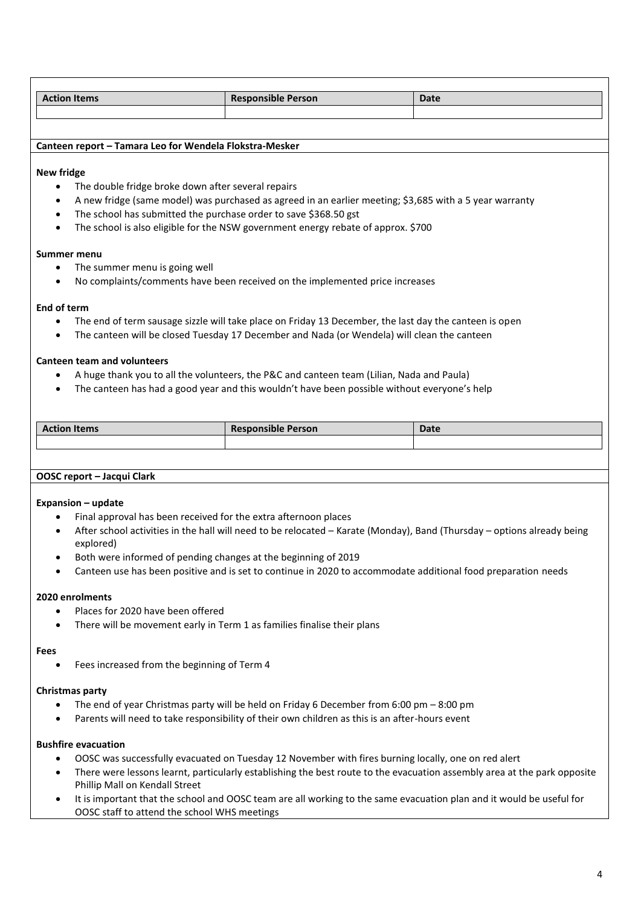| <b>Action Items</b>                                                                                                  |                                                                  | <b>Responsible Person</b>                                                                                                | Date |
|----------------------------------------------------------------------------------------------------------------------|------------------------------------------------------------------|--------------------------------------------------------------------------------------------------------------------------|------|
|                                                                                                                      |                                                                  |                                                                                                                          |      |
|                                                                                                                      |                                                                  |                                                                                                                          |      |
|                                                                                                                      | Canteen report - Tamara Leo for Wendela Flokstra-Mesker          |                                                                                                                          |      |
| <b>New fridge</b>                                                                                                    |                                                                  |                                                                                                                          |      |
| $\bullet$                                                                                                            | The double fridge broke down after several repairs               |                                                                                                                          |      |
| $\bullet$                                                                                                            |                                                                  | A new fridge (same model) was purchased as agreed in an earlier meeting; \$3,685 with a 5 year warranty                  |      |
| $\bullet$                                                                                                            | The school has submitted the purchase order to save \$368.50 gst |                                                                                                                          |      |
|                                                                                                                      |                                                                  | The school is also eligible for the NSW government energy rebate of approx. \$700                                        |      |
| Summer menu                                                                                                          |                                                                  |                                                                                                                          |      |
| ٠                                                                                                                    | The summer menu is going well                                    |                                                                                                                          |      |
| $\bullet$                                                                                                            |                                                                  | No complaints/comments have been received on the implemented price increases                                             |      |
| End of term                                                                                                          |                                                                  |                                                                                                                          |      |
|                                                                                                                      |                                                                  | The end of term sausage sizzle will take place on Friday 13 December, the last day the canteen is open                   |      |
| $\bullet$                                                                                                            |                                                                  | The canteen will be closed Tuesday 17 December and Nada (or Wendela) will clean the canteen                              |      |
|                                                                                                                      |                                                                  |                                                                                                                          |      |
|                                                                                                                      | <b>Canteen team and volunteers</b>                               |                                                                                                                          |      |
|                                                                                                                      |                                                                  | A huge thank you to all the volunteers, the P&C and canteen team (Lilian, Nada and Paula)                                |      |
|                                                                                                                      |                                                                  | The canteen has had a good year and this wouldn't have been possible without everyone's help                             |      |
|                                                                                                                      |                                                                  |                                                                                                                          |      |
| <b>Action Items</b>                                                                                                  |                                                                  | <b>Responsible Person</b>                                                                                                | Date |
|                                                                                                                      |                                                                  |                                                                                                                          |      |
|                                                                                                                      |                                                                  |                                                                                                                          |      |
|                                                                                                                      | OOSC report - Jacqui Clark                                       |                                                                                                                          |      |
|                                                                                                                      |                                                                  |                                                                                                                          |      |
| <b>Expansion - update</b>                                                                                            |                                                                  |                                                                                                                          |      |
|                                                                                                                      | Final approval has been received for the extra afternoon places  |                                                                                                                          |      |
|                                                                                                                      |                                                                  | After school activities in the hall will need to be relocated - Karate (Monday), Band (Thursday - options already being  |      |
|                                                                                                                      | explored)                                                        |                                                                                                                          |      |
|                                                                                                                      | Both were informed of pending changes at the beginning of 2019   |                                                                                                                          |      |
|                                                                                                                      |                                                                  | Canteen use has been positive and is set to continue in 2020 to accommodate additional food preparation needs            |      |
| 2020 enrolments                                                                                                      |                                                                  |                                                                                                                          |      |
|                                                                                                                      | Places for 2020 have been offered                                |                                                                                                                          |      |
| $\bullet$                                                                                                            |                                                                  | There will be movement early in Term 1 as families finalise their plans                                                  |      |
| Fees                                                                                                                 |                                                                  |                                                                                                                          |      |
|                                                                                                                      | Fees increased from the beginning of Term 4                      |                                                                                                                          |      |
|                                                                                                                      |                                                                  |                                                                                                                          |      |
| <b>Christmas party</b>                                                                                               |                                                                  |                                                                                                                          |      |
|                                                                                                                      |                                                                  | The end of year Christmas party will be held on Friday 6 December from 6:00 pm - 8:00 pm                                 |      |
|                                                                                                                      |                                                                  | Parents will need to take responsibility of their own children as this is an after-hours event                           |      |
| <b>Bushfire evacuation</b>                                                                                           |                                                                  |                                                                                                                          |      |
|                                                                                                                      |                                                                  | OOSC was successfully evacuated on Tuesday 12 November with fires burning locally, one on red alert                      |      |
| $\bullet$                                                                                                            |                                                                  | There were lessons learnt, particularly establishing the best route to the evacuation assembly area at the park opposite |      |
|                                                                                                                      | Phillip Mall on Kendall Street                                   |                                                                                                                          |      |
| It is important that the school and OOSC team are all working to the same evacuation plan and it would be useful for |                                                                  |                                                                                                                          |      |

OOSC staff to attend the school WHS meetings

 $\Gamma$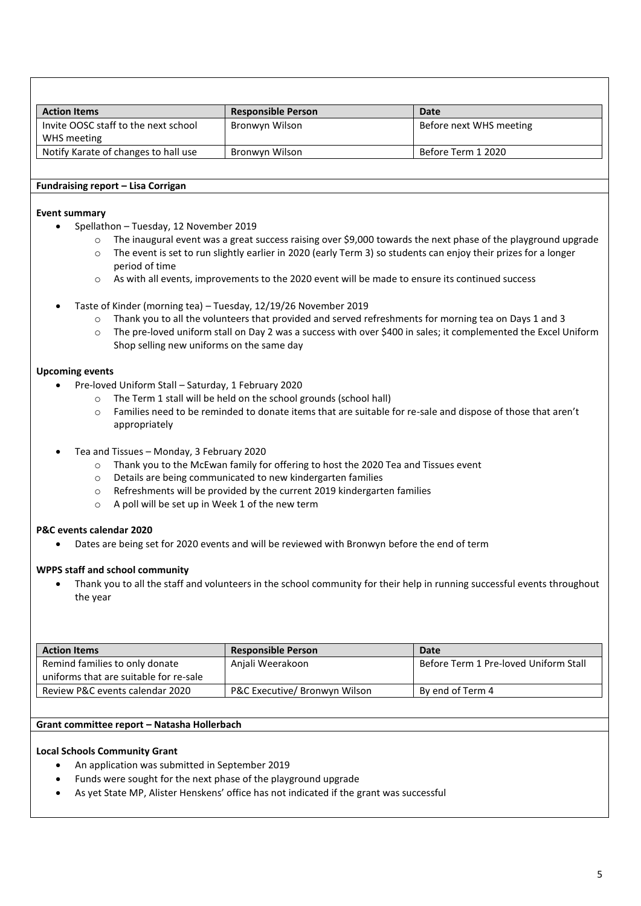| <b>Action Items</b>                  | <b>Responsible Person</b> | Date                    |
|--------------------------------------|---------------------------|-------------------------|
| Invite OOSC staff to the next school | Bronwyn Wilson            | Before next WHS meeting |
| WHS meeting                          |                           |                         |
| Notify Karate of changes to hall use | Bronwyn Wilson            | Before Term 1 2020      |

## **Fundraising report – Lisa Corrigan**

## **Event summary**

- Spellathon Tuesday, 12 November 2019
	- o The inaugural event was a great success raising over \$9,000 towards the next phase of the playground upgrade
	- o The event is set to run slightly earlier in 2020 (early Term 3) so students can enjoy their prizes for a longer period of time
	- o As with all events, improvements to the 2020 event will be made to ensure its continued success
- Taste of Kinder (morning tea) Tuesday, 12/19/26 November 2019
	- o Thank you to all the volunteers that provided and served refreshments for morning tea on Days 1 and 3
	- o The pre-loved uniform stall on Day 2 was a success with over \$400 in sales; it complemented the Excel Uniform Shop selling new uniforms on the same day

## **Upcoming events**

- Pre-loved Uniform Stall Saturday, 1 February 2020
	- o The Term 1 stall will be held on the school grounds (school hall)
	- o Families need to be reminded to donate items that are suitable for re-sale and dispose of those that aren't appropriately
- Tea and Tissues Monday, 3 February 2020
	- o Thank you to the McEwan family for offering to host the 2020 Tea and Tissues event
	- o Details are being communicated to new kindergarten families
	- o Refreshments will be provided by the current 2019 kindergarten families
	- $\circ$  A poll will be set up in Week 1 of the new term

## **P&C events calendar 2020**

Dates are being set for 2020 events and will be reviewed with Bronwyn before the end of term

## **WPPS staff and school community**

 Thank you to all the staff and volunteers in the school community for their help in running successful events throughout the year

| <b>Action Items</b>                    | <b>Responsible Person</b>     | <b>Date</b>                           |
|----------------------------------------|-------------------------------|---------------------------------------|
| Remind families to only donate         | Anjali Weerakoon              | Before Term 1 Pre-loved Uniform Stall |
| uniforms that are suitable for re-sale |                               |                                       |
| Review P&C events calendar 2020        | P&C Executive/ Bronwyn Wilson | By end of Term 4                      |

## **Grant committee report – Natasha Hollerbach**

## **Local Schools Community Grant**

- An application was submitted in September 2019
- Funds were sought for the next phase of the playground upgrade
- As yet State MP, Alister Henskens' office has not indicated if the grant was successful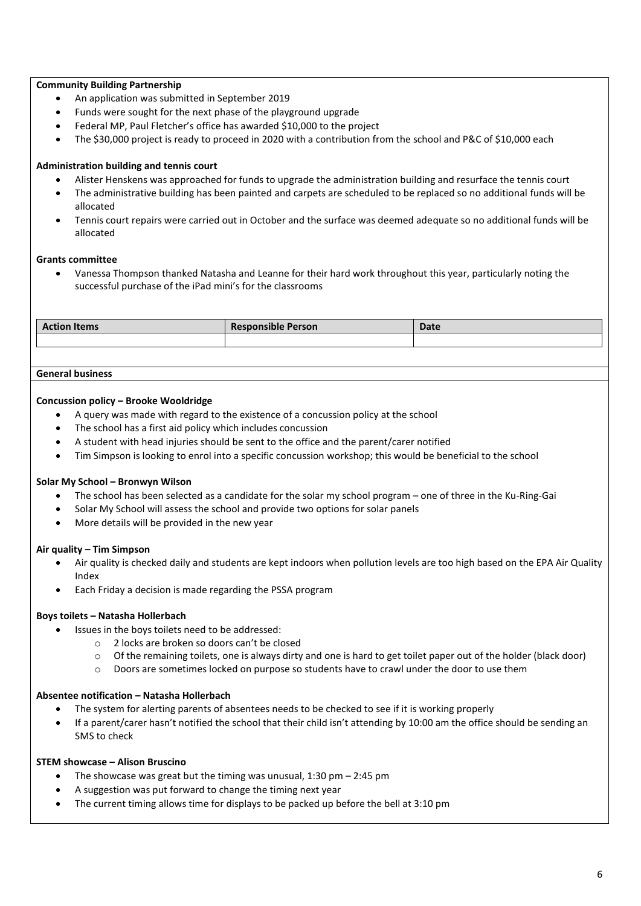## **Community Building Partnership**

- An application was submitted in September 2019
- Funds were sought for the next phase of the playground upgrade
- Federal MP, Paul Fletcher's office has awarded \$10,000 to the project
- The \$30,000 project is ready to proceed in 2020 with a contribution from the school and P&C of \$10,000 each

## **Administration building and tennis court**

- Alister Henskens was approached for funds to upgrade the administration building and resurface the tennis court
- The administrative building has been painted and carpets are scheduled to be replaced so no additional funds will be allocated
- Tennis court repairs were carried out in October and the surface was deemed adequate so no additional funds will be allocated

## **Grants committee**

 Vanessa Thompson thanked Natasha and Leanne for their hard work throughout this year, particularly noting the successful purchase of the iPad mini's for the classrooms

| <b>Action Items</b> | $\cdot$ .<br><b>Responsible Person</b> | <b>Date</b> |
|---------------------|----------------------------------------|-------------|
|                     |                                        |             |

## **General business**

## **Concussion policy – Brooke Wooldridge**

- A query was made with regard to the existence of a concussion policy at the school
- The school has a first aid policy which includes concussion
- A student with head injuries should be sent to the office and the parent/carer notified
- Tim Simpson is looking to enrol into a specific concussion workshop; this would be beneficial to the school

## **Solar My School – Bronwyn Wilson**

- The school has been selected as a candidate for the solar my school program one of three in the Ku-Ring-Gai
- Solar My School will assess the school and provide two options for solar panels
- More details will be provided in the new year

## **Air quality – Tim Simpson**

- Air quality is checked daily and students are kept indoors when pollution levels are too high based on the EPA Air Quality Index
- Each Friday a decision is made regarding the PSSA program

## **Boys toilets – Natasha Hollerbach**

- Issues in the boys toilets need to be addressed:
	- o 2 locks are broken so doors can't be closed
	- $\circ$  Of the remaining toilets, one is always dirty and one is hard to get toilet paper out of the holder (black door)
	- o Doors are sometimes locked on purpose so students have to crawl under the door to use them

## **Absentee notification – Natasha Hollerbach**

- The system for alerting parents of absentees needs to be checked to see if it is working properly
- If a parent/carer hasn't notified the school that their child isn't attending by 10:00 am the office should be sending an SMS to check

## **STEM showcase – Alison Bruscino**

- The showcase was great but the timing was unusual,  $1:30$  pm  $-2:45$  pm
- A suggestion was put forward to change the timing next year
- The current timing allows time for displays to be packed up before the bell at 3:10 pm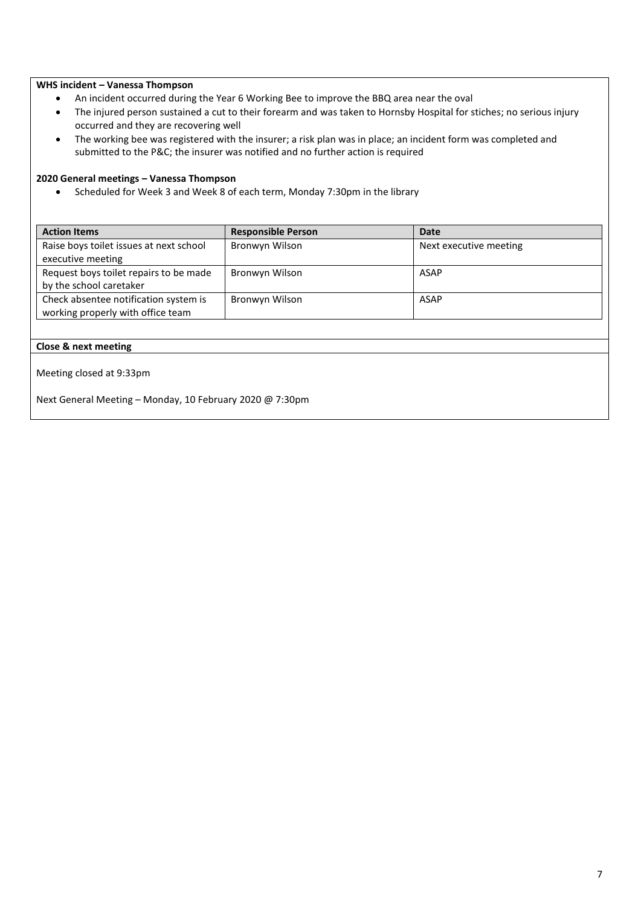## **WHS incident – Vanessa Thompson**

- An incident occurred during the Year 6 Working Bee to improve the BBQ area near the oval
- The injured person sustained a cut to their forearm and was taken to Hornsby Hospital for stiches; no serious injury occurred and they are recovering well
- The working bee was registered with the insurer; a risk plan was in place; an incident form was completed and submitted to the P&C; the insurer was notified and no further action is required

## **2020 General meetings – Vanessa Thompson**

Scheduled for Week 3 and Week 8 of each term, Monday 7:30pm in the library

| <b>Action Items</b>                     | <b>Responsible Person</b> | <b>Date</b>            |
|-----------------------------------------|---------------------------|------------------------|
| Raise boys toilet issues at next school | Bronwyn Wilson            | Next executive meeting |
| executive meeting                       |                           |                        |
| Request boys toilet repairs to be made  | Bronwyn Wilson            | <b>ASAP</b>            |
| by the school caretaker                 |                           |                        |
| Check absentee notification system is   | Bronwyn Wilson            | ASAP                   |
| working properly with office team       |                           |                        |

## **Close & next meeting**

Meeting closed at 9:33pm

Next General Meeting – Monday, 10 February 2020 @ 7:30pm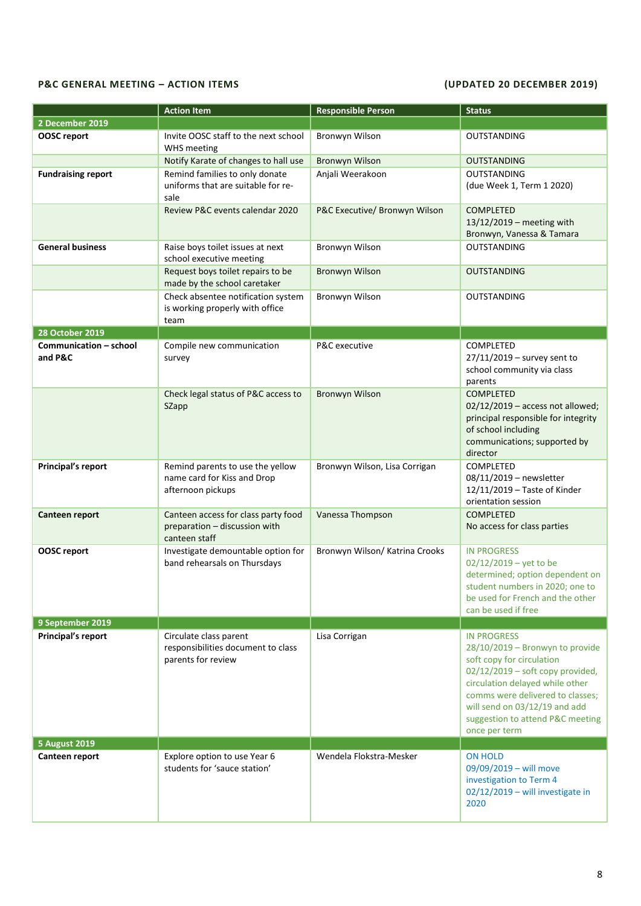## **P&C GENERAL MEETING – ACTION ITEMS (UPDATED 20 DECEMBER 2019)**

|                                   | <b>Action Item</b>                                                                    | <b>Responsible Person</b>      | <b>Status</b>                                                                                                                                                                                                                                                                         |
|-----------------------------------|---------------------------------------------------------------------------------------|--------------------------------|---------------------------------------------------------------------------------------------------------------------------------------------------------------------------------------------------------------------------------------------------------------------------------------|
| 2 December 2019                   |                                                                                       |                                |                                                                                                                                                                                                                                                                                       |
| <b>OOSC</b> report                | Invite OOSC staff to the next school<br><b>WHS</b> meeting                            | Bronwyn Wilson                 | <b>OUTSTANDING</b>                                                                                                                                                                                                                                                                    |
|                                   | Notify Karate of changes to hall use                                                  | <b>Bronwyn Wilson</b>          | <b>OUTSTANDING</b>                                                                                                                                                                                                                                                                    |
| <b>Fundraising report</b>         | Remind families to only donate<br>uniforms that are suitable for re-<br>sale          | Anjali Weerakoon               | <b>OUTSTANDING</b><br>(due Week 1, Term 1 2020)                                                                                                                                                                                                                                       |
|                                   | Review P&C events calendar 2020                                                       | P&C Executive/ Bronwyn Wilson  | <b>COMPLETED</b><br>13/12/2019 - meeting with<br>Bronwyn, Vanessa & Tamara                                                                                                                                                                                                            |
| <b>General business</b>           | Raise boys toilet issues at next<br>school executive meeting                          | Bronwyn Wilson                 | <b>OUTSTANDING</b>                                                                                                                                                                                                                                                                    |
|                                   | Request boys toilet repairs to be<br>made by the school caretaker                     | <b>Bronwyn Wilson</b>          | <b>OUTSTANDING</b>                                                                                                                                                                                                                                                                    |
|                                   | Check absentee notification system<br>is working properly with office<br>team         | Bronwyn Wilson                 | <b>OUTSTANDING</b>                                                                                                                                                                                                                                                                    |
| <b>28 October 2019</b>            |                                                                                       |                                |                                                                                                                                                                                                                                                                                       |
| Communication - school<br>and P&C | Compile new communication<br>survey                                                   | P&C executive                  | <b>COMPLETED</b><br>$27/11/2019$ - survey sent to<br>school community via class<br>parents                                                                                                                                                                                            |
|                                   | Check legal status of P&C access to<br>SZapp                                          | <b>Bronwyn Wilson</b>          | <b>COMPLETED</b><br>$02/12/2019$ - access not allowed;<br>principal responsible for integrity<br>of school including<br>communications; supported by<br>director                                                                                                                      |
| <b>Principal's report</b>         | Remind parents to use the yellow<br>name card for Kiss and Drop<br>afternoon pickups  | Bronwyn Wilson, Lisa Corrigan  | <b>COMPLETED</b><br>08/11/2019 - newsletter<br>12/11/2019 - Taste of Kinder<br>orientation session                                                                                                                                                                                    |
| Canteen report                    | Canteen access for class party food<br>preparation - discussion with<br>canteen staff | Vanessa Thompson               | <b>COMPLETED</b><br>No access for class parties                                                                                                                                                                                                                                       |
| <b>OOSC</b> report                | Investigate demountable option for<br>band rehearsals on Thursdays                    | Bronwyn Wilson/ Katrina Crooks | <b>IN PROGRESS</b><br>$02/12/2019 - \text{yet to be}$<br>determined; option dependent on<br>student numbers in 2020; one to<br>be used for French and the other<br>can be used if free                                                                                                |
| 9 September 2019                  |                                                                                       |                                |                                                                                                                                                                                                                                                                                       |
| Principal's report                | Circulate class parent<br>responsibilities document to class<br>parents for review    | Lisa Corrigan                  | <b>IN PROGRESS</b><br>28/10/2019 - Bronwyn to provide<br>soft copy for circulation<br>$02/12/2019$ – soft copy provided,<br>circulation delayed while other<br>comms were delivered to classes;<br>will send on 03/12/19 and add<br>suggestion to attend P&C meeting<br>once per term |
| <b>5 August 2019</b>              |                                                                                       |                                |                                                                                                                                                                                                                                                                                       |
| Canteen report                    | Explore option to use Year 6<br>students for 'sauce station'                          | Wendela Flokstra-Mesker        | <b>ON HOLD</b><br>09/09/2019 - will move<br>investigation to Term 4<br>$02/12/2019$ – will investigate in<br>2020                                                                                                                                                                     |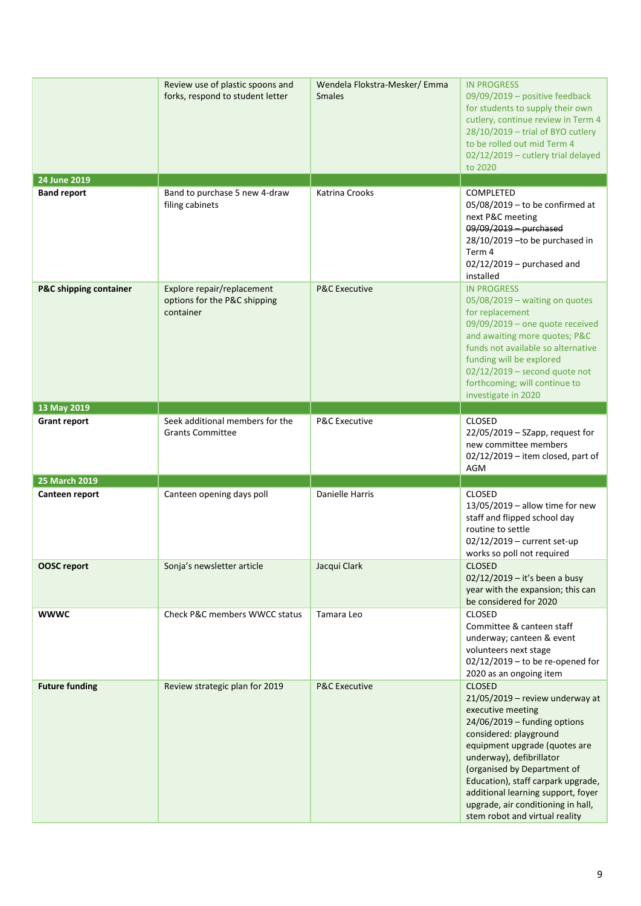|                                   | Review use of plastic spoons and<br>forks, respond to student letter    | Wendela Flokstra-Mesker/Emma<br><b>Smales</b> | <b>IN PROGRESS</b><br>09/09/2019 - positive feedback<br>for students to supply their own<br>cutlery, continue review in Term 4<br>$28/10/2019$ - trial of BYO cutlery<br>to be rolled out mid Term 4<br>02/12/2019 - cutlery trial delayed<br>to 2020                                                                                                                               |
|-----------------------------------|-------------------------------------------------------------------------|-----------------------------------------------|-------------------------------------------------------------------------------------------------------------------------------------------------------------------------------------------------------------------------------------------------------------------------------------------------------------------------------------------------------------------------------------|
| 24 June 2019                      |                                                                         |                                               |                                                                                                                                                                                                                                                                                                                                                                                     |
| <b>Band report</b>                | Band to purchase 5 new 4-draw<br>filing cabinets                        | Katrina Crooks                                | <b>COMPLETED</b><br>05/08/2019 - to be confirmed at<br>next P&C meeting<br>09/09/2019 - purchased<br>28/10/2019 - to be purchased in<br>Term 4<br>$02/12/2019$ – purchased and<br>installed                                                                                                                                                                                         |
| <b>P&amp;C shipping container</b> | Explore repair/replacement<br>options for the P&C shipping<br>container | <b>P&amp;C Executive</b>                      | <b>IN PROGRESS</b><br>05/08/2019 - waiting on quotes<br>for replacement<br>09/09/2019 - one quote received<br>and awaiting more quotes; P&C<br>funds not available so alternative<br>funding will be explored<br>$02/12/2019$ – second quote not<br>forthcoming; will continue to<br>investigate in 2020                                                                            |
| 13 May 2019                       |                                                                         |                                               |                                                                                                                                                                                                                                                                                                                                                                                     |
| <b>Grant report</b>               | Seek additional members for the<br><b>Grants Committee</b>              | <b>P&amp;C Executive</b>                      | <b>CLOSED</b><br>$22/05/2019 - SZapp$ , request for<br>new committee members<br>$02/12/2019$ – item closed, part of<br><b>AGM</b>                                                                                                                                                                                                                                                   |
| 25 March 2019                     |                                                                         |                                               |                                                                                                                                                                                                                                                                                                                                                                                     |
| Canteen report                    | Canteen opening days poll                                               | Danielle Harris                               | <b>CLOSED</b><br>$13/05/2019$ – allow time for new<br>staff and flipped school day<br>routine to settle<br>02/12/2019 - current set-up<br>works so poll not required                                                                                                                                                                                                                |
| <b>OOSC</b> report                | Sonja's newsletter article                                              | Jacqui Clark                                  | <b>CLOSED</b><br>02/12/2019 - it's been a busy<br>year with the expansion; this can<br>be considered for 2020                                                                                                                                                                                                                                                                       |
| <b>WWWC</b>                       | Check P&C members WWCC status                                           | Tamara Leo                                    | <b>CLOSED</b><br>Committee & canteen staff<br>underway; canteen & event<br>volunteers next stage<br>$02/12/2019$ – to be re-opened for<br>2020 as an ongoing item                                                                                                                                                                                                                   |
| <b>Future funding</b>             | Review strategic plan for 2019                                          | <b>P&amp;C Executive</b>                      | <b>CLOSED</b><br>$21/05/2019$ – review underway at<br>executive meeting<br>$24/06/2019$ – funding options<br>considered: playground<br>equipment upgrade (quotes are<br>underway), defibrillator<br>(organised by Department of<br>Education), staff carpark upgrade,<br>additional learning support, foyer<br>upgrade, air conditioning in hall,<br>stem robot and virtual reality |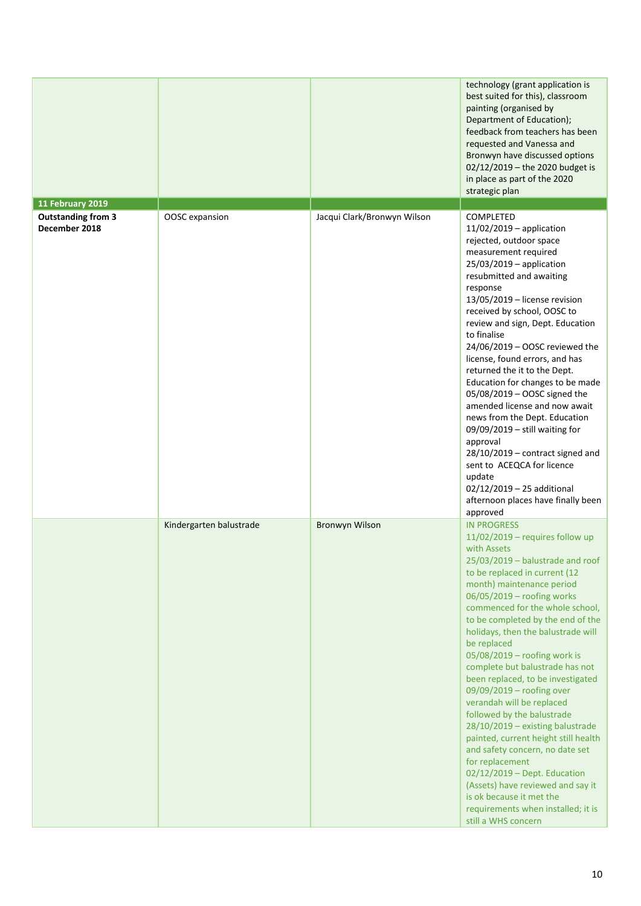|                                            |                         |                             | technology (grant application is<br>best suited for this), classroom<br>painting (organised by<br>Department of Education);<br>feedback from teachers has been<br>requested and Vanessa and<br>Bronwyn have discussed options<br>02/12/2019 - the 2020 budget is<br>in place as part of the 2020<br>strategic plan                                                                                                                                                                                                                                                                                                                                                                                                                                                                                                                    |
|--------------------------------------------|-------------------------|-----------------------------|---------------------------------------------------------------------------------------------------------------------------------------------------------------------------------------------------------------------------------------------------------------------------------------------------------------------------------------------------------------------------------------------------------------------------------------------------------------------------------------------------------------------------------------------------------------------------------------------------------------------------------------------------------------------------------------------------------------------------------------------------------------------------------------------------------------------------------------|
| 11 February 2019                           |                         |                             |                                                                                                                                                                                                                                                                                                                                                                                                                                                                                                                                                                                                                                                                                                                                                                                                                                       |
| <b>Outstanding from 3</b><br>December 2018 | OOSC expansion          | Jacqui Clark/Bronwyn Wilson | COMPLETED<br>$11/02/2019$ - application<br>rejected, outdoor space<br>measurement required<br>$25/03/2019$ – application<br>resubmitted and awaiting<br>response<br>13/05/2019 - license revision<br>received by school, OOSC to<br>review and sign, Dept. Education<br>to finalise<br>24/06/2019 - OOSC reviewed the<br>license, found errors, and has<br>returned the it to the Dept.<br>Education for changes to be made<br>05/08/2019 - OOSC signed the<br>amended license and now await<br>news from the Dept. Education<br>09/09/2019 - still waiting for<br>approval<br>$28/10/2019$ – contract signed and<br>sent to ACEQCA for licence<br>update<br>02/12/2019 - 25 additional<br>afternoon places have finally been<br>approved                                                                                             |
|                                            | Kindergarten balustrade | <b>Bronwyn Wilson</b>       | <b>IN PROGRESS</b><br>$11/02/2019$ – requires follow up<br>with Assets<br>$25/03/2019$ - balustrade and roof<br>to be replaced in current (12<br>month) maintenance period<br>06/05/2019 - roofing works<br>commenced for the whole school,<br>to be completed by the end of the<br>holidays, then the balustrade will<br>be replaced<br>05/08/2019 - roofing work is<br>complete but balustrade has not<br>been replaced, to be investigated<br>09/09/2019 - roofing over<br>verandah will be replaced<br>followed by the balustrade<br>28/10/2019 - existing balustrade<br>painted, current height still health<br>and safety concern, no date set<br>for replacement<br>02/12/2019 - Dept. Education<br>(Assets) have reviewed and say it<br>is ok because it met the<br>requirements when installed; it is<br>still a WHS concern |